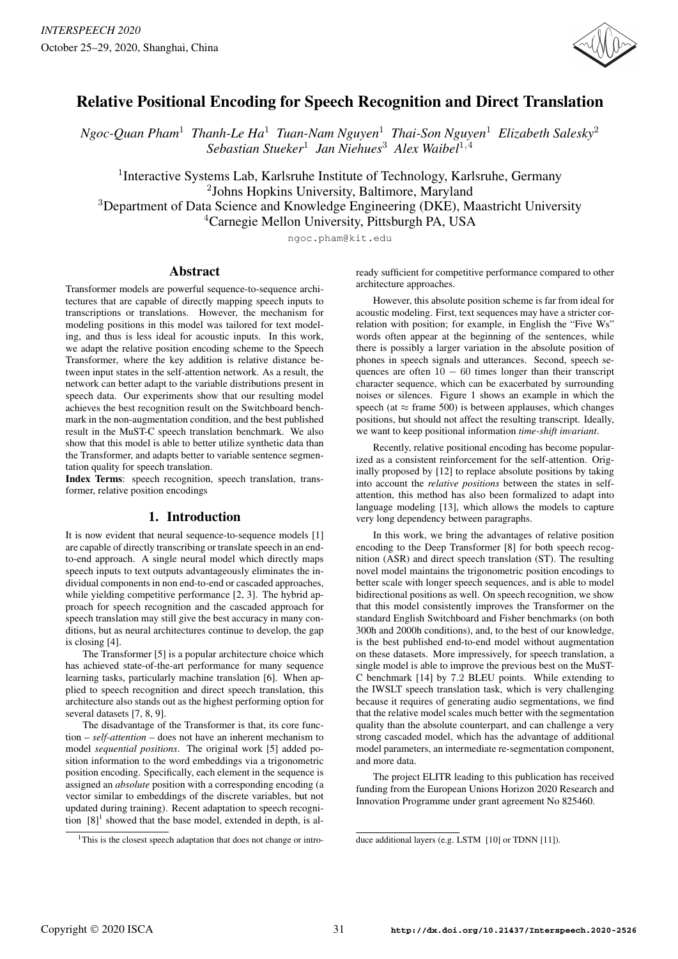

# Relative Positional Encoding for Speech Recognition and Direct Translation

*Ngoc-Quan Pham*<sup>1</sup> *Thanh-Le Ha*<sup>1</sup> *Tuan-Nam Nguyen*<sup>1</sup> *Thai-Son Nguyen*<sup>1</sup> *Elizabeth Salesky*<sup>2</sup> *Sebastian Stueker*<sup>1</sup> *Jan Niehues*<sup>3</sup> *Alex Waibel*<sup>1</sup>,<sup>4</sup>

<sup>1</sup>Interactive Systems Lab, Karlsruhe Institute of Technology, Karlsruhe, Germany Johns Hopkins University, Baltimore, Maryland Department of Data Science and Knowledge Engineering (DKE), Maastricht University Carnegie Mellon University, Pittsburgh PA, USA

ngoc.pham@kit.edu

### Abstract

Transformer models are powerful sequence-to-sequence architectures that are capable of directly mapping speech inputs to transcriptions or translations. However, the mechanism for modeling positions in this model was tailored for text modeling, and thus is less ideal for acoustic inputs. In this work, we adapt the relative position encoding scheme to the Speech Transformer, where the key addition is relative distance between input states in the self-attention network. As a result, the network can better adapt to the variable distributions present in speech data. Our experiments show that our resulting model achieves the best recognition result on the Switchboard benchmark in the non-augmentation condition, and the best published result in the MuST-C speech translation benchmark. We also show that this model is able to better utilize synthetic data than the Transformer, and adapts better to variable sentence segmentation quality for speech translation.

Index Terms: speech recognition, speech translation, transformer, relative position encodings

# 1. Introduction

It is now evident that neural sequence-to-sequence models [1] are capable of directly transcribing or translate speech in an endto-end approach. A single neural model which directly maps speech inputs to text outputs advantageously eliminates the individual components in non end-to-end or cascaded approaches, while yielding competitive performance [2, 3]. The hybrid approach for speech recognition and the cascaded approach for speech translation may still give the best accuracy in many conditions, but as neural architectures continue to develop, the gap is closing [4].

The Transformer [5] is a popular architecture choice which has achieved state-of-the-art performance for many sequence learning tasks, particularly machine translation [6]. When applied to speech recognition and direct speech translation, this architecture also stands out as the highest performing option for several datasets [7, 8, 9].

The disadvantage of the Transformer is that, its core function – *self-attention* – does not have an inherent mechanism to model *sequential positions*. The original work [5] added position information to the word embeddings via a trigonometric position encoding. Specifically, each element in the sequence is assigned an *absolute* position with a corresponding encoding (a vector similar to embeddings of the discrete variables, but not updated during training). Recent adaptation to speech recognition  $[8]$ <sup>1</sup> showed that the base model, extended in depth, is already sufficient for competitive performance compared to other architecture approaches.

However, this absolute position scheme is far from ideal for acoustic modeling. First, text sequences may have a stricter correlation with position; for example, in English the "Five Ws" words often appear at the beginning of the sentences, while there is possibly a larger variation in the absolute position of phones in speech signals and utterances. Second, speech sequences are often  $10 - 60$  times longer than their transcript character sequence, which can be exacerbated by surrounding noises or silences. Figure 1 shows an example in which the speech (at  $\approx$  frame 500) is between applauses, which changes positions, but should not affect the resulting transcript. Ideally, we want to keep positional information *time-shift invariant*.

Recently, relative positional encoding has become popularized as a consistent reinforcement for the self-attention. Originally proposed by [12] to replace absolute positions by taking into account the *relative positions* between the states in selfattention, this method has also been formalized to adapt into language modeling [13], which allows the models to capture very long dependency between paragraphs.

In this work, we bring the advantages of relative position encoding to the Deep Transformer [8] for both speech recognition (ASR) and direct speech translation (ST). The resulting novel model maintains the trigonometric position encodings to better scale with longer speech sequences, and is able to model bidirectional positions as well. On speech recognition, we show that this model consistently improves the Transformer on the standard English Switchboard and Fisher benchmarks (on both 300h and 2000h conditions), and, to the best of our knowledge, is the best published end-to-end model without augmentation on these datasets. More impressively, for speech translation, a single model is able to improve the previous best on the MuST-C benchmark [14] by 7.2 BLEU points. While extending to the IWSLT speech translation task, which is very challenging because it requires of generating audio segmentations, we find that the relative model scales much better with the segmentation quality than the absolute counterpart, and can challenge a very strong cascaded model, which has the advantage of additional model parameters, an intermediate re-segmentation component, and more data.

The project ELITR leading to this publication has received funding from the European Unions Horizon 2020 Research and Innovation Programme under grant agreement No 825460.

<sup>&</sup>lt;sup>1</sup>This is the closest speech adaptation that does not change or intro-

duce additional layers (e.g. LSTM [10] or TDNN [11]).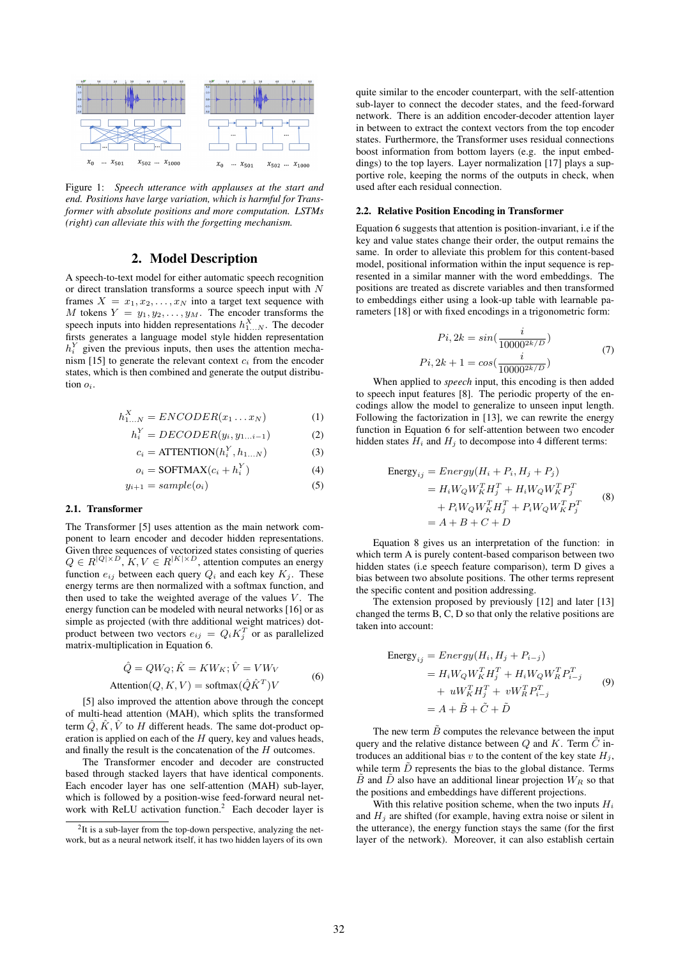

Figure 1: *Speech utterance with applauses at the start and end. Positions have large variation, which is harmful for Transformer with absolute positions and more computation. LSTMs (right) can alleviate this with the forgetting mechanism.*

# 2. Model Description

A speech-to-text model for either automatic speech recognition or direct translation transforms a source speech input with N frames  $X = x_1, x_2, \dots, x_N$  into a target text sequence with M tokens  $Y = y_1, y_2, \ldots, y_M$ . The encoder transforms the speech inputs into hidden representations  $h_{1...N}^X$ . The decoder firsts generates a language model style hidden representation  $h_i^Y$  given the previous inputs, then uses the attention mechanism [15] to generate the relevant context  $c_i$  from the encoder states, which is then combined and generate the output distribution  $o_i$ .

$$
h_{1...N}^X = ENCODER(x_1...x_N)
$$
 (1)

$$
h_i^Y = DECODER(y_i, y_{1...i-1})
$$
 (2)

$$
c_i = \text{ATTENTION}(h_i^Y, h_{1...N})
$$
\n(3)

$$
o_i = \text{SOFTMAX}(c_i + h_i^Y) \tag{4}
$$

$$
y_{i+1} = sample(o_i) \tag{5}
$$

#### 2.1. Transformer

The Transformer [5] uses attention as the main network component to learn encoder and decoder hidden representations. Given three sequences of vectorized states consisting of queries  $Q \in R^{|Q| \times D}$ ,  $K, V \in R^{|K| \times D}$ , attention computes an energy function  $e_{ij}$  between each query  $Q_i$  and each key  $K_j$ . These energy terms are then normalized with a softmax function, and then used to take the weighted average of the values  $V$ . The energy function can be modeled with neural networks [16] or as simple as projected (with thre additional weight matrices) dotproduct between two vectors  $e_{ij} = Q_i K_j^T$  or as parallelized matrix-multiplication in Equation 6.

$$
\hat{Q} = QW_Q; \hat{K} = KW_K; \hat{V} = VW_V
$$
  
Attention(Q, K, V) = softmax( $\hat{Q}\hat{K}^T$ )V (6)

[5] also improved the attention above through the concept of multi-head attention (MAH), which splits the transformed term  $\hat{Q}, \hat{K}, \hat{V}$  to H different heads. The same dot-product operation is applied on each of the  $H$  query, key and values heads, and finally the result is the concatenation of the H outcomes.

The Transformer encoder and decoder are constructed based through stacked layers that have identical components. Each encoder layer has one self-attention (MAH) sub-layer, which is followed by a position-wise feed-forward neural network with ReLU activation function.<sup>2</sup> Each decoder layer is quite similar to the encoder counterpart, with the self-attention sub-layer to connect the decoder states, and the feed-forward network. There is an addition encoder-decoder attention layer in between to extract the context vectors from the top encoder states. Furthermore, the Transformer uses residual connections boost information from bottom layers (e.g. the input embeddings) to the top layers. Layer normalization [17] plays a supportive role, keeping the norms of the outputs in check, when used after each residual connection.

#### 2.2. Relative Position Encoding in Transformer

Equation 6 suggests that attention is position-invariant, i.e if the key and value states change their order, the output remains the same. In order to alleviate this problem for this content-based model, positional information within the input sequence is represented in a similar manner with the word embeddings. The positions are treated as discrete variables and then transformed to embeddings either using a look-up table with learnable parameters [18] or with fixed encodings in a trigonometric form:

$$
Pi, 2k = \sin(\frac{i}{10000^{2k/D}})
$$
  
\n
$$
Pi, 2k + 1 = \cos(\frac{i}{10000^{2k/D}})
$$
\n(7)

When applied to *speech* input, this encoding is then added to speech input features [8]. The periodic property of the encodings allow the model to generalize to unseen input length. Following the factorization in [13], we can rewrite the energy function in Equation 6 for self-attention between two encoder hidden states  $H_i$  and  $H_j$  to decompose into 4 different terms:

Energy<sub>ij</sub> = Energy(
$$
H_i + P_i
$$
,  $H_j + P_j$ )  
\n=  $H_i W_Q W_K^T H_j^T + H_i W_Q W_K^T P_j^T$   
\n+  $P_i W_Q W_K^T H_j^T + P_i W_Q W_K^T P_j^T$   
\n=  $A + B + C + D$  (8)

Equation 8 gives us an interpretation of the function: in which term A is purely content-based comparison between two hidden states (i.e speech feature comparison), term D gives a bias between two absolute positions. The other terms represent the specific content and position addressing.

The extension proposed by previously [12] and later [13] changed the terms B, C, D so that only the relative positions are taken into account:

Energy<sub>ij</sub> = 
$$
Energy(H_i, H_j + P_{i-j})
$$
  
\n=  $H_i W_Q W_K^T H_j^T + H_i W_Q W_R^T P_{i-j}^T$   
\n+  $u W_K^T H_j^T + v W_R^T P_{i-j}^T$   
\n=  $A + \tilde{B} + \tilde{C} + \tilde{D}$  (9)

The new term  $\tilde{B}$  computes the relevance between the input query and the relative distance between  $Q$  and  $K$ . Term  $\tilde{C}$  introduces an additional bias v to the content of the key state  $H_i$ , while term  $\tilde{D}$  represents the bias to the global distance. Terms  $\tilde{B}$  and  $\tilde{D}$  also have an additional linear projection  $W_R$  so that the positions and embeddings have different projections.

With this relative position scheme, when the two inputs  $H_i$ and  $H_i$  are shifted (for example, having extra noise or silent in the utterance), the energy function stays the same (for the first layer of the network). Moreover, it can also establish certain

 $2$ It is a sub-layer from the top-down perspective, analyzing the network, but as a neural network itself, it has two hidden layers of its own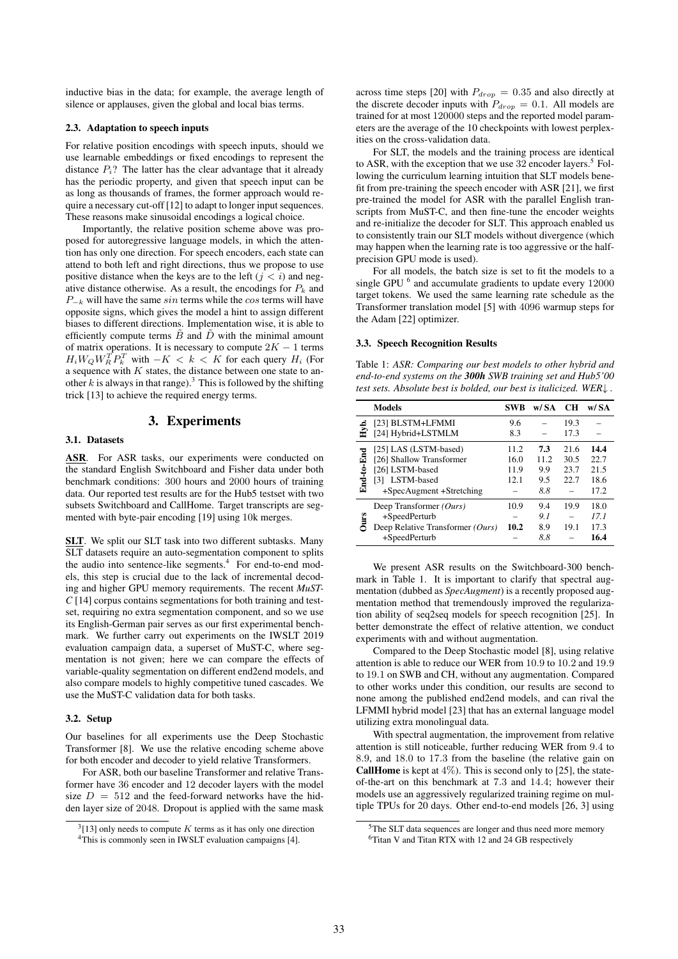inductive bias in the data; for example, the average length of silence or applauses, given the global and local bias terms.

#### 2.3. Adaptation to speech inputs

For relative position encodings with speech inputs, should we use learnable embeddings or fixed encodings to represent the distance  $P_i$ ? The latter has the clear advantage that it already has the periodic property, and given that speech input can be as long as thousands of frames, the former approach would require a necessary cut-off [12] to adapt to longer input sequences. These reasons make sinusoidal encodings a logical choice.

Importantly, the relative position scheme above was proposed for autoregressive language models, in which the attention has only one direction. For speech encoders, each state can attend to both left and right directions, thus we propose to use positive distance when the keys are to the left  $(j < i)$  and negative distance otherwise. As a result, the encodings for  $P_k$  and  $P_{-k}$  will have the same sin terms while the cos terms will have opposite signs, which gives the model a hint to assign different biases to different directions. Implementation wise, it is able to efficiently compute terms  $\tilde{B}$  and  $\tilde{D}$  with the minimal amount of matrix operations. It is necessary to compute  $2K - 1$  terms  $H_i W_Q W_R^T P_k^T$  with  $-K < k < K$  for each query  $H_i$  (For a sequence with  $K$  states, the distance between one state to another k is always in that range).<sup>3</sup> This is followed by the shifting trick [13] to achieve the required energy terms.

# 3. Experiments

#### 3.1. Datasets

ASR. For ASR tasks, our experiments were conducted on the standard English Switchboard and Fisher data under both benchmark conditions: 300 hours and 2000 hours of training data. Our reported test results are for the Hub5 testset with two subsets Switchboard and CallHome. Target transcripts are segmented with byte-pair encoding [19] using 10k merges.

SLT. We split our SLT task into two different subtasks. Many SLT datasets require an auto-segmentation component to splits the audio into sentence-like segments.<sup>4</sup> For end-to-end models, this step is crucial due to the lack of incremental decoding and higher GPU memory requirements. The recent *MuST-C* [14] corpus contains segmentations for both training and testset, requiring no extra segmentation component, and so we use its English-German pair serves as our first experimental benchmark. We further carry out experiments on the IWSLT 2019 evaluation campaign data, a superset of MuST-C, where segmentation is not given; here we can compare the effects of variable-quality segmentation on different end2end models, and also compare models to highly competitive tuned cascades. We use the MuST-C validation data for both tasks.

### 3.2. Setup

Our baselines for all experiments use the Deep Stochastic Transformer [8]. We use the relative encoding scheme above for both encoder and decoder to yield relative Transformers.

For ASR, both our baseline Transformer and relative Transformer have 36 encoder and 12 decoder layers with the model size  $D = 512$  and the feed-forward networks have the hidden layer size of 2048. Dropout is applied with the same mask across time steps [20] with  $P_{drop} = 0.35$  and also directly at the discrete decoder inputs with  $P_{drop} = 0.1$ . All models are trained for at most 120000 steps and the reported model parameters are the average of the 10 checkpoints with lowest perplexities on the cross-validation data.

For SLT, the models and the training process are identical to ASR, with the exception that we use  $32$  encoder layers.<sup>5</sup> Following the curriculum learning intuition that SLT models benefit from pre-training the speech encoder with ASR [21], we first pre-trained the model for ASR with the parallel English transcripts from MuST-C, and then fine-tune the encoder weights and re-initialize the decoder for SLT. This approach enabled us to consistently train our SLT models without divergence (which may happen when the learning rate is too aggressive or the halfprecision GPU mode is used).

For all models, the batch size is set to fit the models to a single GPU  $<sup>6</sup>$  and accumulate gradients to update every 12000</sup> target tokens. We used the same learning rate schedule as the Transformer translation model [5] with 4096 warmup steps for the Adam [22] optimizer.

#### 3.3. Speech Recognition Results

Table 1: *ASR: Comparing our best models to other hybrid and end-to-end systems on the 300h SWB training set and Hub5'00 test sets. Absolute best is bolded, our best is italicized. WER*↓ *.*

|            | <b>Models</b>                    | <b>SWB</b> | w/ SA | <b>CH</b> | w/ SA |
|------------|----------------------------------|------------|-------|-----------|-------|
|            | [23] BLSTM+LFMMI                 | 9.6        |       | 19.3      |       |
|            | [24] Hybrid+LSTMLM               | 8.3        |       | 17.3      |       |
| End-to-End | [25] LAS (LSTM-based)            | 11.2       | 7.3   | 21.6      | 14.4  |
|            | [26] Shallow Transformer         | 16.0       | 11.2  | 30.5      | 22.7  |
|            | [26] LSTM-based                  | 11.9       | 9.9   | 23.7      | 21.5  |
|            | [3] LSTM-based                   | 12.1       | 9.5   | 22.7      | 18.6  |
|            | +SpecAugment +Stretching         |            | 8.8   |           | 17.2  |
| Jurs       | Deep Transformer (Ours)          | 10.9       | 9.4   | 19.9      | 18.0  |
|            | +SpeedPerturb                    |            | 9.1   |           | 17.1  |
|            | Deep Relative Transformer (Ours) | 10.2       | 8.9   | 19.1      | 17.3  |
|            | +SpeedPerturb                    |            | 8.8   |           | 16.4  |

We present ASR results on the Switchboard-300 benchmark in Table 1. It is important to clarify that spectral augmentation (dubbed as *SpecAugment*) is a recently proposed augmentation method that tremendously improved the regularization ability of seq2seq models for speech recognition [25]. In better demonstrate the effect of relative attention, we conduct experiments with and without augmentation.

Compared to the Deep Stochastic model [8], using relative attention is able to reduce our WER from 10.9 to 10.2 and 19.9 to 19.1 on SWB and CH, without any augmentation. Compared to other works under this condition, our results are second to none among the published end2end models, and can rival the LFMMI hybrid model [23] that has an external language model utilizing extra monolingual data.

With spectral augmentation, the improvement from relative attention is still noticeable, further reducing WER from 9.4 to 8.9, and 18.0 to 17.3 from the baseline (the relative gain on **CallHome** is kept at  $4\%$ ). This is second only to [25], the stateof-the-art on this benchmark at 7.3 and 14.4; however their models use an aggressively regularized training regime on multiple TPUs for 20 days. Other end-to-end models [26, 3] using

 $3$ [13] only needs to compute K terms as it has only one direction <sup>4</sup>This is commonly seen in IWSLT evaluation campaigns [4].

<sup>&</sup>lt;sup>5</sup>The SLT data sequences are longer and thus need more memory <sup>6</sup>Titan V and Titan RTX with 12 and 24 GB respectively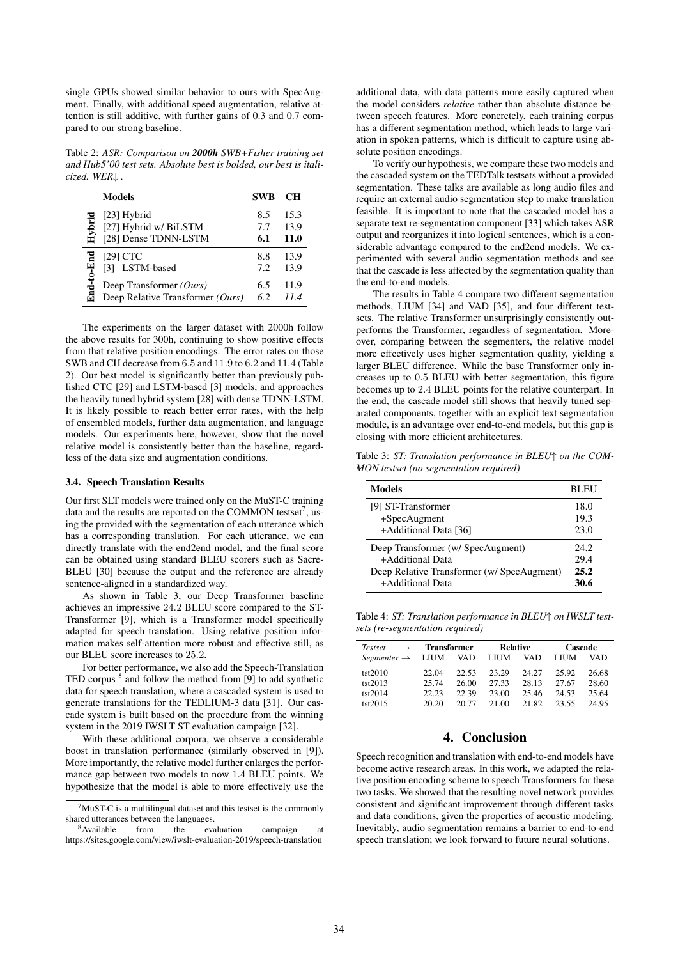single GPUs showed similar behavior to ours with SpecAugment. Finally, with additional speed augmentation, relative attention is still additive, with further gains of 0.3 and 0.7 compared to our strong baseline.

Table 2: *ASR: Comparison on 2000h SWB+Fisher training set and Hub5'00 test sets. Absolute best is bolded, our best is italicized. WER*↓ *.*

| <b>Models</b>                                                                                               | <b>SWB</b>              | CН                           |
|-------------------------------------------------------------------------------------------------------------|-------------------------|------------------------------|
| [23] Hybrid<br>Hybrid<br>[27] Hybrid w/ BiLSTM<br>[28] Dense TDNN-LSTM                                      | 8.5<br>7.7<br>6.1       | 15.3<br>13.9<br>11.0         |
| End-to-End<br>$[29]$ $CTC$<br>[3] LSTM-based<br>Deep Transformer (Ours)<br>Deep Relative Transformer (Ours) | 8.8<br>7.2<br>6.5<br>62 | 13.9<br>13.9<br>11.9<br>11.4 |

The experiments on the larger dataset with 2000h follow the above results for 300h, continuing to show positive effects from that relative position encodings. The error rates on those SWB and CH decrease from 6.5 and 11.9 to 6.2 and 11.4 (Table 2). Our best model is significantly better than previously published CTC [29] and LSTM-based [3] models, and approaches the heavily tuned hybrid system [28] with dense TDNN-LSTM. It is likely possible to reach better error rates, with the help of ensembled models, further data augmentation, and language models. Our experiments here, however, show that the novel relative model is consistently better than the baseline, regardless of the data size and augmentation conditions.

### 3.4. Speech Translation Results

Our first SLT models were trained only on the MuST-C training data and the results are reported on the COMMON testset<sup>7</sup>, using the provided with the segmentation of each utterance which has a corresponding translation. For each utterance, we can directly translate with the end2end model, and the final score can be obtained using standard BLEU scorers such as Sacre-BLEU [30] because the output and the reference are already sentence-aligned in a standardized way.

As shown in Table 3, our Deep Transformer baseline achieves an impressive 24.2 BLEU score compared to the ST-Transformer [9], which is a Transformer model specifically adapted for speech translation. Using relative position information makes self-attention more robust and effective still, as our BLEU score increases to 25.2.

For better performance, we also add the Speech-Translation TED corpus <sup>8</sup> and follow the method from [9] to add synthetic data for speech translation, where a cascaded system is used to generate translations for the TEDLIUM-3 data [31]. Our cascade system is built based on the procedure from the winning system in the 2019 IWSLT ST evaluation campaign [32].

With these additional corpora, we observe a considerable boost in translation performance (similarly observed in [9]). More importantly, the relative model further enlarges the performance gap between two models to now 1.4 BLEU points. We hypothesize that the model is able to more effectively use the

additional data, with data patterns more easily captured when the model considers *relative* rather than absolute distance between speech features. More concretely, each training corpus has a different segmentation method, which leads to large variation in spoken patterns, which is difficult to capture using absolute position encodings.

To verify our hypothesis, we compare these two models and the cascaded system on the TEDTalk testsets without a provided segmentation. These talks are available as long audio files and require an external audio segmentation step to make translation feasible. It is important to note that the cascaded model has a separate text re-segmentation component [33] which takes ASR output and reorganizes it into logical sentences, which is a considerable advantage compared to the end2end models. We experimented with several audio segmentation methods and see that the cascade is less affected by the segmentation quality than the end-to-end models.

The results in Table 4 compare two different segmentation methods, LIUM [34] and VAD [35], and four different testsets. The relative Transformer unsurprisingly consistently outperforms the Transformer, regardless of segmentation. Moreover, comparing between the segmenters, the relative model more effectively uses higher segmentation quality, yielding a larger BLEU difference. While the base Transformer only increases up to 0.5 BLEU with better segmentation, this figure becomes up to 2.4 BLEU points for the relative counterpart. In the end, the cascade model still shows that heavily tuned separated components, together with an explicit text segmentation module, is an advantage over end-to-end models, but this gap is closing with more efficient architectures.

Table 3: *ST: Translation performance in BLEU*↑ *on the COM-MON testset (no segmentation required)*

| Models                                    | BL EU |
|-------------------------------------------|-------|
| [9] ST-Transformer                        | 18.0  |
| +SpecAugment                              | 19.3  |
| +Additional Data [36]                     | 23.0  |
| Deep Transformer (w/ SpecAugment)         | 24.2  |
| +Additional Data                          | 29.4  |
| Deep Relative Transformer (w/SpecAugment) | 25.2  |
| +Additional Data                          | 30.6  |

Table 4: *ST: Translation performance in BLEU*↑ *on IWSLT testsets (re-segmentation required)*

| Testset                 | <b>Transformer</b> |       | <b>Relative</b> |       | Cascade |       |
|-------------------------|--------------------|-------|-----------------|-------|---------|-------|
| Segmenter $\rightarrow$ | <b>LIUM</b>        | VAD   | <b>LIUM</b>     | VAD   | LIUM    | VAD   |
| tst2010                 | 22.04              | 22.53 | 23.29           | 24.27 | 25.92   | 26.68 |
| tst2013                 | 25.74              | 26.00 | 27.33           | 28.13 | 27.67   | 28.60 |
| tst2014                 | 22.23              | 22.39 | 23.00           | 25.46 | 24.53   | 25.64 |
| tst2015                 | 20.20              | 20.77 | 21.00           | 21.82 | 23.55   | 24.95 |

### 4. Conclusion

Speech recognition and translation with end-to-end models have become active research areas. In this work, we adapted the relative position encoding scheme to speech Transformers for these two tasks. We showed that the resulting novel network provides consistent and significant improvement through different tasks and data conditions, given the properties of acoustic modeling. Inevitably, audio segmentation remains a barrier to end-to-end speech translation; we look forward to future neural solutions.

 $7$ MuST-C is a multilingual dataset and this testset is the commonly shared utterances between the languages.<br> $\frac{8 \text{ Available}}{100}$  from the even

from the evaluation campaign at https://sites.google.com/view/iwslt-evaluation-2019/speech-translation